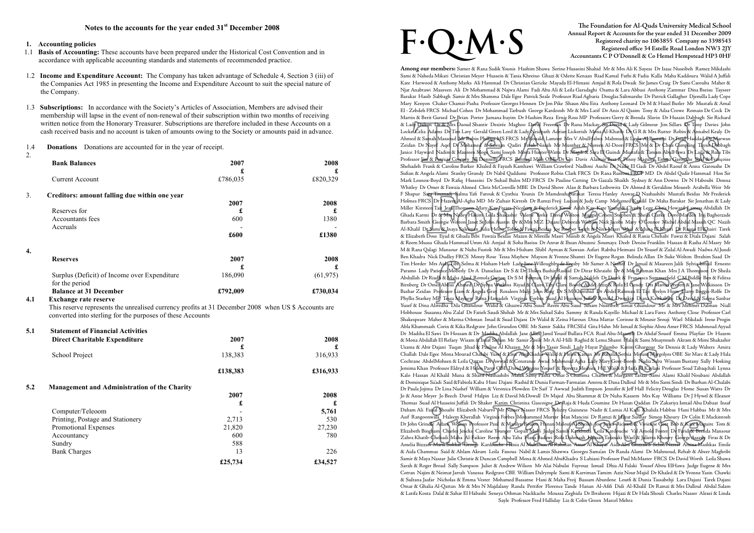## **1. Accounting policies**

- 1.1 **Basis of Accounting:** These accounts have been prepared under the Historical Cost Convention and in accordance with applicable accounting standards and statements of recommended practice.
- 1.2 **Income and Expenditure Account:** The Company has taken advantage of Schedule 4, Section 3 (iii) of the Companies Act 1985 in presenting the Income and Expenditure Account to suit the special nature of the Company.
- 1.3 **Subscriptions:** In accordance with the Society's Articles of Association, Members are advised their membership will lapse in the event of non-renewal of their subscription within two months of receiving written notice from the Honorary Treasurer. Subscriptions are therefore included in these Accounts on a cash received basis and no account is taken of amounts owing to the Society or amounts paid in advance.
- 1.4 **Donations** Donations are accounted for in the year of receipt.
- 2.

# The Foundation for Al-Quds University Medical School<br>Annual Report & Accounts for the year ended 31 December 2009<br>Registered charity no 1063855 Company no 3398543<br>Registered office 34 Estelle Road London NW3 2JY<br>Accountant **Annual Report & Accounts for the year ended 31 December 2009 Registered charity no 1063855 Company no 3398543 Registered office 34 Estelle Road London NW3 2JY Accountants C P O'Donnell & Co Hemel Hempstead HP3 0HF**

| ۷.  | <b>Bank Balances</b>                                                                                                                                              | 2007<br>£ | 2008<br>£ |
|-----|-------------------------------------------------------------------------------------------------------------------------------------------------------------------|-----------|-----------|
|     | <b>Current Account</b>                                                                                                                                            | £786,035  | £820,329  |
| 3.  | Creditors: amount falling due within one year                                                                                                                     |           |           |
|     |                                                                                                                                                                   | 2007      | 2008      |
|     | Reserves for                                                                                                                                                      | £         | £         |
|     | Accountants fees                                                                                                                                                  | 600       | 1380      |
|     | Accruals                                                                                                                                                          |           |           |
|     |                                                                                                                                                                   | £600      | £1380     |
| 4.  |                                                                                                                                                                   |           |           |
|     | <b>Reserves</b>                                                                                                                                                   | 2007      | 2008      |
|     |                                                                                                                                                                   | £         | £         |
|     | Surplus (Deficit) of Income over Expenditure<br>for the period                                                                                                    | 186,090   | (61, 975) |
|     | <b>Balance at 31 December</b>                                                                                                                                     | £792,009  | £730,034  |
| 4.1 | <b>Exchange rate reserve</b>                                                                                                                                      |           |           |
|     | This reserve represents the unrealised currency profits at 31 December 2008 when US \$ Accounts are<br>converted into sterling for the purposes of these Accounts |           |           |
| 5.1 | <b>Statement of Financial Activities</b>                                                                                                                          |           |           |

| <b>Direct Charitable Expenditure</b>                       | 2007     | 2008     |
|------------------------------------------------------------|----------|----------|
|                                                            | £        | £        |
| School Project                                             | 138,383  | 316,933  |
|                                                            | £138,383 | £316,933 |
| 5.2<br><b>Management and Administration of the Charity</b> |          |          |
|                                                            | 2007     | 2008     |
|                                                            | £        | £        |
| Computer/Teleoom                                           |          | 5,761    |
| Printing, Postage and Stationery                           | 2,713    | 530      |
| Promotional Expenses                                       | 21,820   | 27,230   |
| Accountancy                                                | 600      | 780      |
| Sundry                                                     | 588      |          |
| <b>Bank Charges</b>                                        | 13       | 226      |
|                                                            | £25,734  | £34,527  |

# **F. Q. M.**

**Among our members:** Samer & Rana Sadik Younis Hashim Shawa Serine Husseini Shahid Mr & Mrs Ali K Sayess Dr Isaac Nuseibeh Ramez Mikdashi Sami & Naheda Mikati Christian Meyer Hussein & Tania Khreino Ghazi & Odette Kenaan Riad Kamal Fathi & Fadia Kalla Maha Kaddoura Walid A Juffali Kate Harwood & Anthony Marks Ali Hammad Dr Christian Gericke Mayada El-Himani Amjad & Rola Dwaik Sir James Craig Dr Sami Carouba Maher & Njat Anabtawi Maureen Ali Dr Mohammad & Najwa Alami Fadi Abu Ali & Leila Garadaghi Osama & Lara Abbasi Anthony Zammar Dina Bseisu Tayseer Barakat Hasib Sabbagh Samir & Mrs Shamma Dale Egee Patrick Seale Professor Riad Agbaria Douglas Saltmarshe Dr Patrick Gallagher Djemilla Lady Cope Mary Kenyon Chaker Chamsi-Pasha Professor Georges Hennen Dr Jon Pike Shaun Abu Eita Anthony Leonard Dr M & Hazel Butler Mr Mustafa & Amal El - Zebdeh FRCS Michael Cohen Dr Mohammad Tarbush George Kardoosh Mr & Mrs Latif Dr Anis Al Qasim Tony & Ailsa Crowe Romain De Cock Dr Martin & Berit Garsed Dr Brian Porter Jumana Itayim Dr Hashim Reza Ernie Ross MP Professors Gerry & Brenda Slavin Dr Husain Dabbagh Sir Richard & Lady Dalton Dr & Mrs Daoud Shantir Desirée Maghoo David Freeman Dr Runa Mackay Sir David & Lady Gilmour Jim Sillars Dr Tony Davies John Locke Celia Adams Dr Tim Lavy Gerald Green Lord & Lady Neidpath Adrian Lickorish Mona Al-Khatib Dr G R & Mrs Rutter Robin & Annabel Kealy Dr Ahmed & Samah Massoud Mr Robin Phillips MS FRCS Mr Ronald Lamont Mrs V AbulHalwa Mahmud & Layla Al Bustami Dr Fuad Haddad Dr Marwan Zeidan Dr Nayef Aqel Dr Mohamed & Sawsan Qadiri Farah Nissah Mr Munther & Nisreen Al-Doori FRCS Mr & Dr Chris Campling Taysir Dabbagh Janice Hayward Nadim & Maureen Moge Sami Joseph Moira Hunter-Watts Dr Magdi & Sara El Guindi Mustafa & Tamam AbulHawa Dr Laila & Rula Tibi Professor Jim & Patricia Coveney Jill Donnelly FRCS Bernard Mills OBE Dr Uri Davis Alastair Best & Penny Maguire Emma Garoushe Said & Françoise Shehadeh Frank & Caroline Barker Khaled & Fayzeh Kamhawi William Crawford Nadhmi Auchi Dr Nadir El Gadi Dr Abdel Raouf & Anna Garoushe Dr Sufian & Angela Alami Stanley Grundy Dr Nabil Qaddumi Professor Robin Clark FRCS Dr Rana Rustom FRCP MD Dr Abdel Qadir Hammad Hon Sir Mark Lennox-Boyd Dr Rafiq Husseini Dr Suhail Bulos MD FRCS Dr Pauline Cutting Dr Gazala Shaikh Sydney & Ann Downs Dr N Haboubi Donna Whitley Dr Omer & Fawzia Ahmed Chris McConville MBE Dr David Shove Alan & Barbara Leibowitz Dr Ahmed & Geraldine Moueeb Arabella Weir Mr F Shapur Sara Toumadj Salma Yafi Farouk & Cynthia Younis Dr Mamdouh Barakat Teresa Hanley Anwar D Nashashibi Mustafa Beidas Mr Frederick Holmes FRCS Dr Hazem Al-Agha MD Mr Zuhair Kirresh Dr Ramzi Freij Lucian & Judy Camp Mohamed Kandil Dr Maha Barakat Sir Jonathan & Lady Miller Kirsteen Tait Jean Thomson Mary-Kay Frears Nicolette & Frederick Kwok Adah Kay Kate Young & Charlie Legg Chris Howard Lamess Abdallah Dr Ghada Karmi Dr & Mrs Nadey Hakim Leila Shakashir Valerie Yorke David Wolton Maggie Cohen Stephen & Sheila Clarke Doro Marden Iraj Bagherzade Barbara Smith Georgie Wolton Janet St John Austin Dr & Mrs M Z Dajani Deborah Wolton Nick Jacobs Mary O'Connor Michel Abdul Massih QC Nazih Al-Khalil Dr Sami & Inaya Suleiman Julia Helou Tohfe & Fawzi Beidas Joe Roeber Leith & Nina Masri Wael & Muna El Khairi Dr Ranna El Khairi Tarek & Elizabeth Doss Eyad & Ghada Bibi Fawzia Beidas Mazen & Mireille Masri Munib & Angela Masri Khaled & Rania Chehabi Fawzi & Diala Dajani Salah & Reem Mussa Ghada Hammad Umm Ali Amjad & Soha Bseisu Dr Anvar & Ihsan Abuzeni Soumaya Deeb Denise Franklin Hassan & Rasha Al Masry Mr M & Rana Qalagi Mansour & Nuha Fustok Mr & Mrs Hisham Shibl Ayman & Sawsan Asfari Rabiha Heimani Dr Yousef & Zulal Al Awadi Nadwa Al Jundi Ben Khadra Nick Dudley FRCS Monty Rose Tessa Mayhew Mayson & Yvonne Shamti Dr Eugene Rogan Belinda Allan Dr Suke Wolton Ibrahim Saad Dr Tim Horder Mrs Aida Tibi Selma & Hisham Harb Lady Jane Willoughby de Eresby Mr Samer A Nashef Dr Ismail & Maureen Jalili Sylvia Ismail Ernesto Paramo Lady Patience Moberly Dr A Danielian Dr S & Dr Thikra Bashir Rashid Dr Dirar Khraishi Dr & Mrs Rehman Khan Mrs J A Thompson Dr Sheila Abdullah Dr Riadh & Maha Abed Romola Guiton Dr S M Forman Dr Jehad & Samah Nakleh Dr Derek & Francesca Summerfield C M Biddle Ben & Felitsa Birnberg Dr Omer Abbas Ahmed Dr Sylvia Watkins Riyad & Claire Tibi Clare Booth Abdel Aziz & Rola El Gendy Drs Martin Prevett & Jane Wilkinson Dr Bashar Zeidan Professor Liam & Angela Gray Rosaleen Mulji John King Dr S M Khorshid Dr Abdel Rahman El Taji Evelyn Horn Harry Boggis-Rolfe Dr Phyllis Starkey MP Tessa Mayhew Rima Hamadeh Virginia Forbes Suad Al Husseini Juffali Ronald Dworkin Diana Kawkabani Dr David & Salma Sanbar Yusef & Dina Aliredha Dila Ghandour Walid & Ghazwa Abu Suud Reem Abu Saud Siham Nuseibeh Ismat Ghandour Mr & Mrs Mehmet Dalman Niall Hobhouse Susanna Abu Zalaf Dr Fatieh Saudi Shihab Mr & Mrs Suhail Saba Sammy & Randa Kayello Michael & Lara Fares Anthony Close Professor Carl Shakespeare Maher & Marina Othman Imad & Suad Dajani Dr Walid & Zeina Haroun Dina Mattar Corinne & Mounir Srouji Wael Mikdadi Irene Progin Abla Khammash Corin & Kika Redgrave John Grundon OBE Mr Samir Sakka FRCSEd Gita Hahn Mr Ismail & Sophie Abou Amer FRCS Mahmoud Ayyad Dr Madiha El Sawi Dr Hossam & Dr Madiha Abdallah Jane Allan Jamil Yousif Bullata FCA Riad Abu-Manneh Dr Ahdaf Soueif Emma Playfair Dr Hazem & Mona Abdallah El Refaey Wisam & Insaf Sirhan Mr Samir Zreik Mr A Al-Hilli Raghid & Lema Shanti Hala & Sami Mnaymneh Akram & Mimi Shakashir Usama & Abir Dajani Tuqan Jihad & Pauline Al Khazen Mr & Mrs Yassir Sindi Lady Hayat Palumbo Karim Ghargour Sir Dennis & Lady Walters Amira Challah Dale Egee Mona Mourad Chalabi Yusef & Lina AbuKhadra Walid & Helen Kattan Mr Babulal Sethia Miriam Margolyes OBE Sir Marc & Lady Hala Cochrane AbdelMohsen & Leila Qattan Dr Awwad & Constance Awad Mahmoud Agha Lady Mary Gore-Booth Nadia Saba Wissam Bustany Sally Hosking Jemima Khan Professor Eldryd & Helen Parry OBE David Wiggins Yousef & Doretta Meshiea H E Wajih & Haifa Al Kaylani Professor Soad Tabaqchali Lynna Kalo Hassan Al Khalil Muna & Sharif Nashashibi Malak Samy Pasha Omar S Chamma Charles & Margaret Tarazi Sami Alami Khalil Noubani Abdallah & Dominique Sa'adi Said &Fabiola Kaba Hani Dajani Rashid & Dunia Farman-Farmaian Amrou & Dana Dalloul Mr & Mrs Sami Sindi Dr Burhan Al-Chalabi Dr Paula Jojima Dr Lina Nashef William & Veronica Plowden Dr Saif T Awwad Judith Empson Jennifer & Jeff Hall Felicity Douglas Home Susan Watts Dr Jo & Anne Meyer Jo Beech David Halpin Liz & David McDowall Dr Majed Abu Shammat & Dr Nuha Kassem Mrs Kay Williams Dr J Hywel & Eleanor Thomas Suad Al Husseini Juffali Dr Shaker Karim Christina Gascoigne Dr Raja & Huda Coumine Dr Hasan Qaddan Dr Zakariya Ismail Abu Dabaat Insaf Daham Ali Faisal Shoaibi Elizabeth Nabarro Mr Nasser Nasser FRCS Felicity Guinness Nadir & Lamia Al Kadi Khalida Habbas Hani Habbas Mr & Mrs Asif Rangoonwala Haleem Kherallah Virginia Forbes Mohammed Murrar Max Mancini Dr Ramzi & Hayat Sanbar Simon Khoury Dr Colin E Mackintosh Dr John Grindle Adam Wolton Professor Paul & Marilyn Boulos Hanan Malouf Al Sheikh Joe Jones Richard & Vivienne Gott Bob & Kate Maguire Tom & Elizabeth Bingham Charles Jencks Caroline Younger Gopali Mulji Judge Samih Katkhuda Leila Kardouche Val Arnold Foster Dr Farid & Brenda Mansour Zahra Khatib-Chehadi Maha Al-Faikier Reem Abu Taha Hana Badawi Rola Dahmash Hassan Tatanaki Wael & Julietta Khoury George Asseily Firas & Dr Amelia Bizzari Maria Sukkar George Kardouche Hania Al Muhaisen Al Rahman Amar Al Khayat Aida Abu Ghazaleh Selim Nassar Amina Mashkas Emile & Aida Chammas Said & Ahlam Akram Leila Fanous Nabil & Lamis Shawwa Georges Sama'an Dr Randa Alami Dr Mahmoud, Rehab & Abeer Maghribi Samir & Maya Nassar Julie Christie & Duncan Campbell Mona & Ahmed AbuKhadra S Lahiani Professor Paul McMaster FRCS Dr David Worth Leila Shawa Sarah & Roger Broad Sally Sampson Juliet & Andrew Wilson Mr Alai Nabulsi Fayrouz Ismail Dhia Al Falaki Yousef Abou ElHawa Judge Eugene & Mrs Cotran Najim & Neimat Jarrah Vanessa Redgrave CBE William Dalrymple Sami & Karriman Tamim Aziz Nour Majid Dr Khaled & Dr Yvonne Yasin Chawki & Sultana Jaafar Nicholas & Emma Vester Mohamed Bassatne Hani & Maha Freij Bassam Aburdene Loutfi & Dunia Tassabehji Lara Dajani Tarek Dajani Omar & Ghalia Al-Qattan Mr & Mrs N Majdalany Randa Pettifor Florence Tande Hanan Al-Afifi Didi Al-Khalil Dr Ramzi & Mrs Dalloul Abdul Salam & Latifa Kosta Dalal & Sahar El Habashi Seneya Othman Nackkache Moussa Zeghida Dr Ibraheem Hijazi & Dr Hala Shouli Charles Nasser Alexei & Linda Sayle Professor Fred Halliday Liz & Colin Green Marcel Mehra